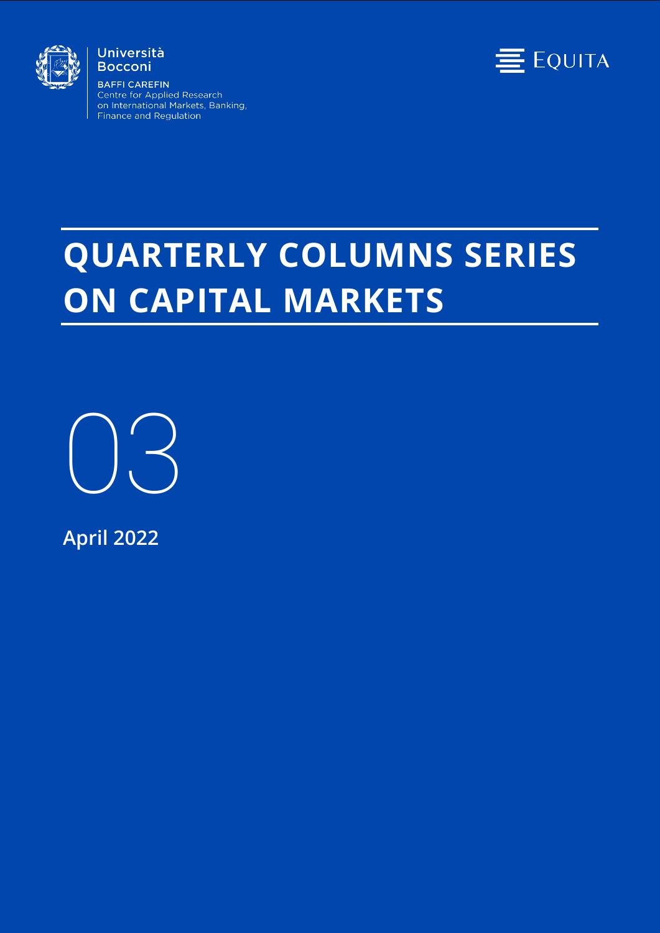

#### Università **Bocconi**

**BAFFI CAREFIN** Centre for Applied Research on International Markets, Banking, Finance and Regulation



# **QUARTERLY COLUMNS SERIES ON CAPITAL MARKETS**

03

**April 2022**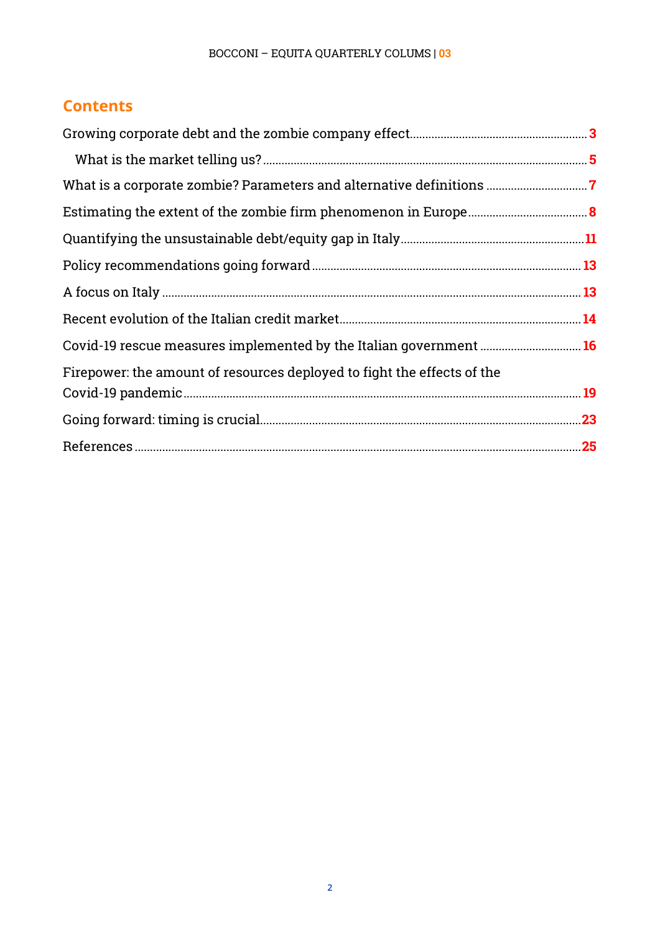## **Contents**

| Firepower: the amount of resources deployed to fight the effects of the |  |
|-------------------------------------------------------------------------|--|
|                                                                         |  |
|                                                                         |  |
|                                                                         |  |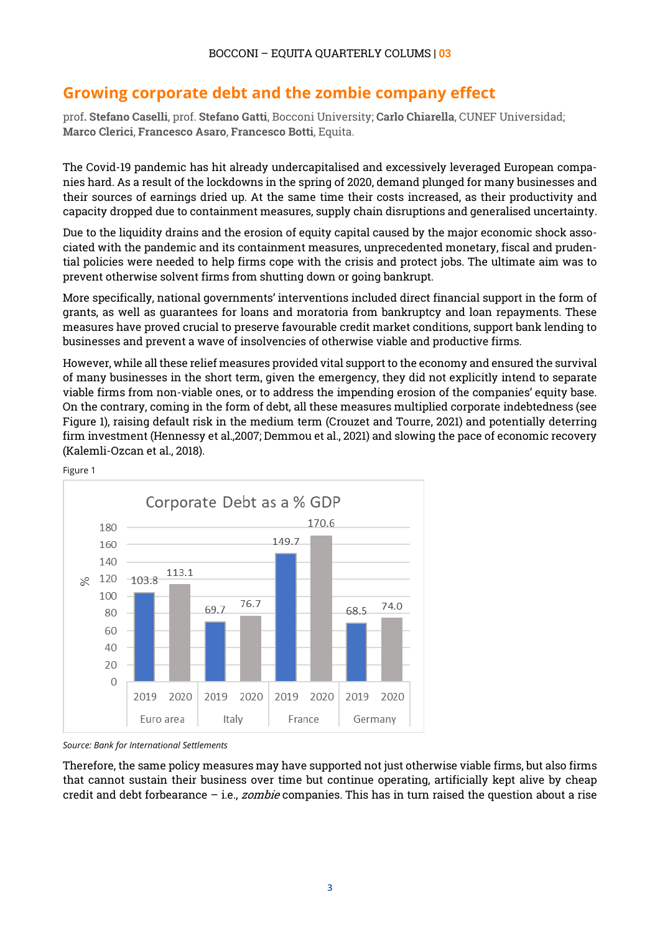## <span id="page-2-0"></span>**Growing corporate debt and the zombie company effect**

prof**. Stefano Caselli**, prof. **Stefano Gatti**, Bocconi University; **Carlo Chiarella**, CUNEF Universidad; **Marco Clerici**, **Francesco Asaro**, **Francesco Botti**, Equita.

The Covid-19 pandemic has hit already undercapitalised and excessively leveraged European companies hard. As a result of the lockdowns in the spring of 2020, demand plunged for many businesses and their sources of earnings dried up. At the same time their costs increased, as their productivity and capacity dropped due to containment measures, supply chain disruptions and generalised uncertainty.

Due to the liquidity drains and the erosion of equity capital caused by the major economic shock associated with the pandemic and its containment measures, unprecedented monetary, fiscal and prudential policies were needed to help firms cope with the crisis and protect jobs. The ultimate aim was to prevent otherwise solvent firms from shutting down or going bankrupt.

More specifically, national governments' interventions included direct financial support in the form of grants, as well as guarantees for loans and moratoria from bankruptcy and loan repayments. These measures have proved crucial to preserve favourable credit market conditions, support bank lending to businesses and prevent a wave of insolvencies of otherwise viable and productive firms.

However, while allthese relief measures provided vital support to the economy and ensured the survival of many businesses in the short term, given the emergency, they did not explicitly intend to separate viable firms from non-viable ones, or to address the impending erosion of the companies' equity base. On the contrary, coming in the form of debt, all these measures multiplied corporate indebtedness (see Figure 1), raising default risk in the medium term (Crouzet and Tourre, 2021) and potentially deterring firm investment (Hennessy et al.,2007; Demmou et al., 2021) and slowing the pace of economic recovery (Kalemli-Ozcan et al., 2018).





*Source: Bank for International Settlements*

Therefore, the same policy measures may have supported not just otherwise viable firms, but also firms that cannot sustain their business over time but continue operating, artificially kept alive by cheap credit and debt forbearance  $-$  i.e., *zombie* companies. This has in turn raised the question about a rise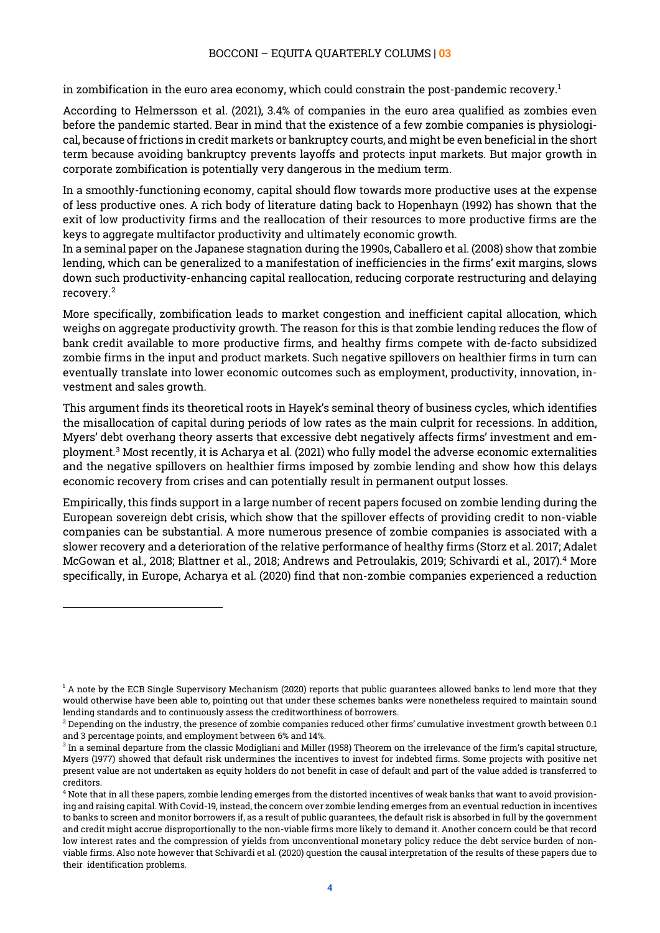in zombification in the euro area economy, which could constrain the post-pandemic recovery.<sup>1</sup>

According to Helmersson et al. (2021), 3.4% of companies in the euro area qualified as zombies even before the pandemic started. Bear in mind that the existence of a few zombie companies is physiological, because of frictions in credit markets or bankruptcy courts, and might be even beneficial in the short term because avoiding bankruptcy prevents layoffs and protects input markets. But major growth in corporate zombification is potentially very dangerous in the medium term.

In a smoothly-functioning economy, capital should flow towards more productive uses at the expense of less productive ones. A rich body of literature dating back to Hopenhayn (1992) has shown that the exit of low productivity firms and the reallocation of their resources to more productive firms are the keys to aggregate multifactor productivity and ultimately economic growth.

In a seminal paper on the Japanese stagnation during the 1990s, Caballero et al. (2008) show that zombie lending, which can be generalized to a manifestation of inefficiencies in the firms' exit margins, slows down such productivity-enhancing capital reallocation, reducing corporate restructuring and delaying recovery.[2](#page-3-1)

More specifically, zombification leads to market congestion and inefficient capital allocation, which weighs on aggregate productivity growth. The reason for this is that zombie lending reduces the flow of bank credit available to more productive firms, and healthy firms compete with de-facto subsidized zombie firms in the input and product markets. Such negative spillovers on healthier firms in turn can eventually translate into lower economic outcomes such as employment, productivity, innovation, investment and sales growth.

This argument finds its theoretical roots in Hayek's seminal theory of business cycles, which identifies the misallocation of capital during periods of low rates as the main culprit for recessions. In addition, Myers' debt overhang theory asserts that excessive debt negatively affects firms' investment and employment.[3](#page-3-2) Most recently, it is Acharya et al. (2021) who fully model the adverse economic externalities and the negative spillovers on healthier firms imposed by zombie lending and show how this delays economic recovery from crises and can potentially result in permanent output losses.

Empirically, this finds support in a large number of recent papers focused on zombie lending during the European sovereign debt crisis, which show that the spillover effects of providing credit to non-viable companies can be substantial. A more numerous presence of zombie companies is associated with a slower recovery and a deterioration of the relative performance of healthy firms (Storz et al. 2017; Adalet McGowan et al., 2018; Blattner et al., 2018; Andrews and Petroulakis, 2019; Schivardi et al., 2017).[4](#page-3-3) More specifically, in Europe, Acharya et al. (2020) find that non-zombie companies experienced a reduction

<span id="page-3-0"></span> $1$  A note by the ECB Single Supervisory Mechanism (2020) reports that public guarantees allowed banks to lend more that they would otherwise have been able to, pointing out that under these schemes banks were nonetheless required to maintain sound lending standards and to continuously assess the creditworthiness of borrowers.<br><sup>2</sup> Depending on the industry, the presence of zombie companies reduced other firms' cumulative investment growth between 0.1

<span id="page-3-1"></span>and 3 percentage points, and employment between 6% and 14%.

<span id="page-3-2"></span> $3$  In a seminal departure from the classic Modigliani and Miller (1958) Theorem on the irrelevance of the firm's capital structure, Myers (1977) showed that default risk undermines the incentives to invest for indebted firms. Some projects with positive net present value are not undertaken as equity holders do not benefit in case of default and part of the value added is transferred to creditors.

<span id="page-3-3"></span><sup>&</sup>lt;sup>4</sup> Note that in all these papers, zombie lending emerges from the distorted incentives of weak banks that want to avoid provisioning and raising capital. With Covid-19, instead, the concern over zombie lending emerges from an eventual reduction in incentives to banks to screen and monitor borrowers if, as a result of public guarantees, the default risk is absorbed in full by the government and credit might accrue disproportionally to the non-viable firms more likely to demand it. Another concern could be that record low interest rates and the compression of yields from unconventional monetary policy reduce the debt service burden of nonviable firms. Also note however that Schivardi et al. (2020) question the causal interpretation of the results of these papers due to their identification problems.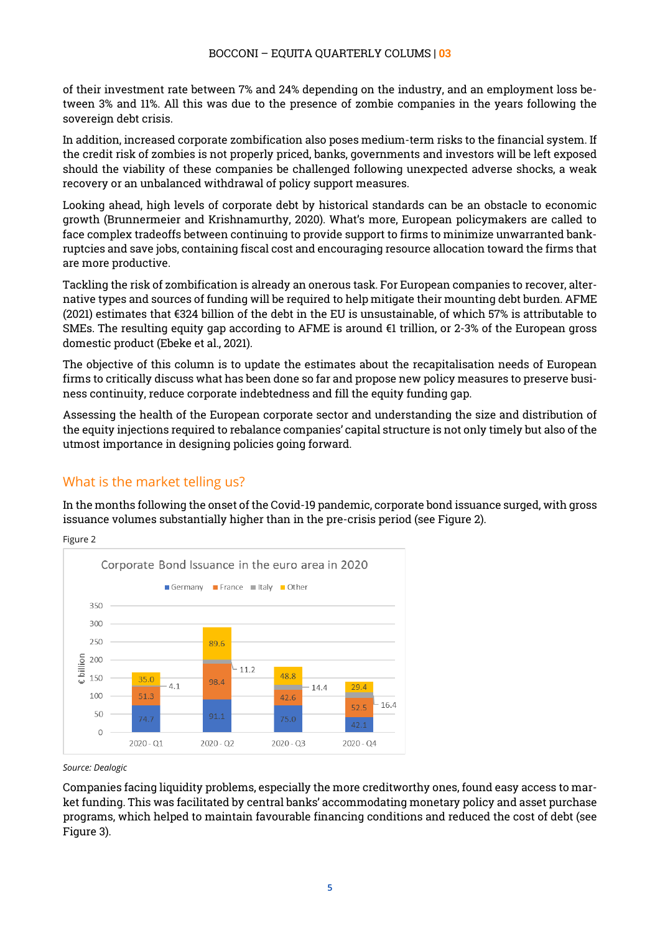of their investment rate between 7% and 24% depending on the industry, and an employment loss between 3% and 11%. All this was due to the presence of zombie companies in the years following the sovereign debt crisis.

In addition, increased corporate zombification also poses medium-term risks to the financial system. If the credit risk of zombies is not properly priced, banks, governments and investors will be left exposed should the viability of these companies be challenged following unexpected adverse shocks, a weak recovery or an unbalanced withdrawal of policy support measures.

Looking ahead, high levels of corporate debt by historical standards can be an obstacle to economic growth (Brunnermeier and Krishnamurthy, 2020). What's more, European policymakers are called to face complex tradeoffs between continuing to provide support to firms to minimize unwarranted bankruptcies and save jobs, containing fiscal cost and encouraging resource allocation toward the firms that are more productive.

Tackling the risk of zombification is already an onerous task. For European companies to recover, alternative types and sources of funding will be required to help mitigate their mounting debt burden. AFME (2021) estimates that €324 billion of the debt in the EU is unsustainable, of which 57% is attributable to SMEs. The resulting equity gap according to AFME is around  $\epsilon$ 1 trillion, or 2-3% of the European gross domestic product (Ebeke et al., 2021).

The objective of this column is to update the estimates about the recapitalisation needs of European firms to critically discuss what has been done so far and propose new policy measures to preserve business continuity, reduce corporate indebtedness and fill the equity funding gap.

Assessing the health of the European corporate sector and understanding the size and distribution of the equity injections required to rebalance companies' capital structure is not only timely but also of the utmost importance in designing policies going forward.

#### <span id="page-4-0"></span>What is the market telling us?

In the months following the onset of the Covid-19 pandemic, corporate bond issuance surged, with gross issuance volumes substantially higher than in the pre-crisis period (see Figure 2).





*Source: Dealogic*

Companies facing liquidity problems, especially the more creditworthy ones, found easy access to market funding. This was facilitated by central banks' accommodating monetary policy and asset purchase programs, which helped to maintain favourable financing conditions and reduced the cost of debt (see Figure 3).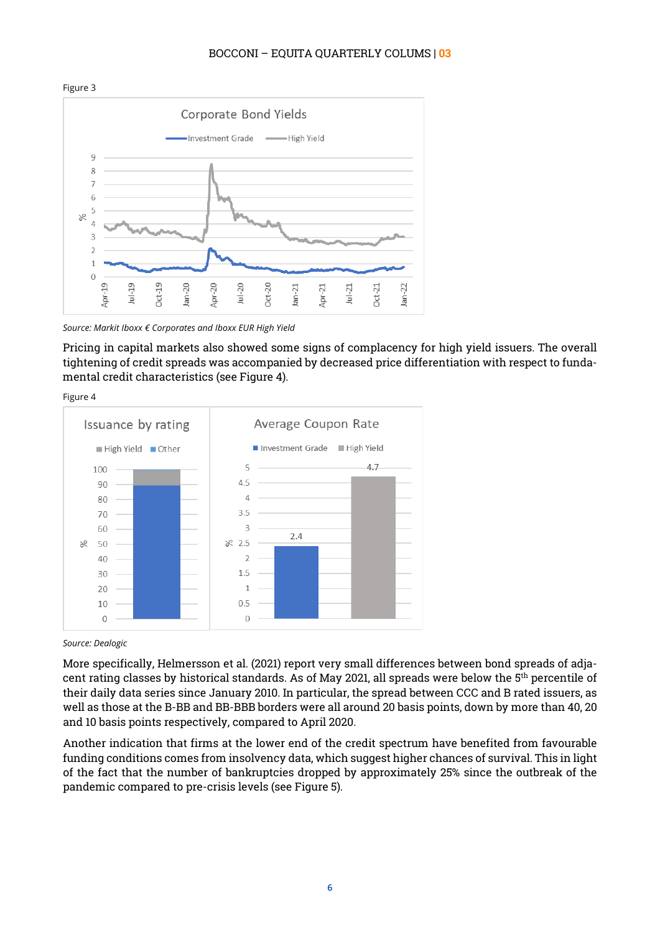#### Figure 3 Corporate Bond Yields Investment Grade - High Yield  $\mathbf C$ 8  $\overline{1}$ 6 5  $\frac{8}{6}$  $\overline{4}$  $\overline{\mathbf{3}}$  $\overline{\phantom{a}}$  $\overline{1}$  $\overline{0}$  $Jul-19$ Apr-19  $Oct-19$  $Jul-20$  $Oct-20$ Apr-21 22  $Jan-20$ Apr-20  $Jan-21$  $Oct-21$  $Jul-21$ İāi

#### BOCCONI – EQUITA QUARTERLY COLUMS | **03**

Pricing in capital markets also showed some signs of complacency for high yield issuers. The overall tightening of credit spreads was accompanied by decreased price differentiation with respect to fundamental credit characteristics (see Figure 4).





#### *Source: Dealogic*

More specifically, Helmersson et al. (2021) report very small differences between bond spreads of adjacent rating classes by historical standards. As of May 2021, all spreads were below the 5th percentile of their daily data series since January 2010. In particular, the spread between CCC and B rated issuers, as well as those at the B-BB and BB-BBB borders were all around 20 basis points, down by more than 40, 20 and 10 basis points respectively, compared to April 2020.

Another indication that firms at the lower end of the credit spectrum have benefited from favourable funding conditions comes from insolvency data, which suggest higher chances of survival. This in light of the fact that the number of bankruptcies dropped by approximately 25% since the outbreak of the pandemic compared to pre-crisis levels (see Figure 5).

*Source: Markit Iboxx € Corporates and Iboxx EUR High Yield*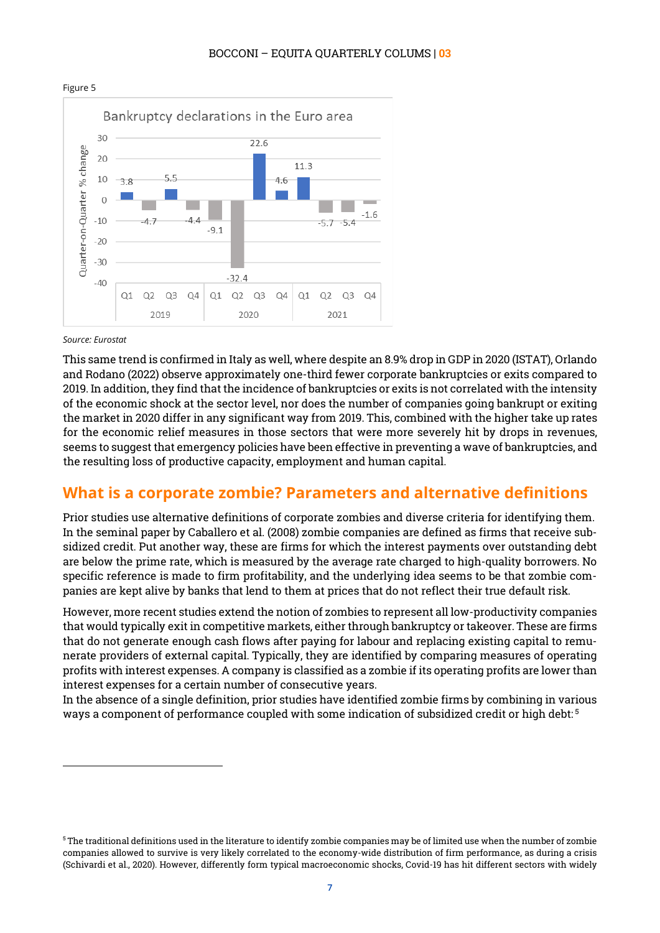

#### BOCCONI – EQUITA QUARTERLY COLUMS | **03**

#### *Source: Eurostat*

 $\overline{a}$ 

This same trend is confirmed in Italy as well, where despite an 8.9% drop in GDP in 2020 (ISTAT), Orlando and Rodano (2022) observe approximately one-third fewer corporate bankruptcies or exits compared to 2019. In addition, they find that the incidence of bankruptcies or exits is not correlated with the intensity of the economic shock at the sector level, nor does the number of companies going bankrupt or exiting the market in 2020 differ in any significant way from 2019. This, combined with the higher take up rates for the economic relief measures in those sectors that were more severely hit by drops in revenues, seems to suggest that emergency policies have been effective in preventing a wave of bankruptcies, and the resulting loss of productive capacity, employment and human capital.

#### <span id="page-6-0"></span>**What is a corporate zombie? Parameters and alternative definitions**

Prior studies use alternative definitions of corporate zombies and diverse criteria for identifying them. In the seminal paper by Caballero et al. (2008) zombie companies are defined as firms that receive subsidized credit. Put another way, these are firms for which the interest payments over outstanding debt are below the prime rate, which is measured by the average rate charged to high-quality borrowers. No specific reference is made to firm profitability, and the underlying idea seems to be that zombie companies are kept alive by banks that lend to them at prices that do not reflect their true default risk.

However, more recent studies extend the notion of zombies to represent all low-productivity companies that would typically exit in competitive markets, either through bankruptcy or takeover. These are firms that do not generate enough cash flows after paying for labour and replacing existing capital to remunerate providers of external capital. Typically, they are identified by comparing measures of operating profits with interest expenses. A company is classified as a zombie if its operating profits are lower than interest expenses for a certain number of consecutive years.

In the absence of a single definition, prior studies have identified zombie firms by combining in various ways a component of performance coupled with some indication of subsidized credit or high debt: [5](#page-6-1)

<span id="page-6-1"></span> $5$  The traditional definitions used in the literature to identify zombie companies may be of limited use when the number of zombie companies allowed to survive is very likely correlated to the economy-wide distribution of firm performance, as during a crisis (Schivardi et al., 2020). However, differently form typical macroeconomic shocks, Covid-19 has hit different sectors with widely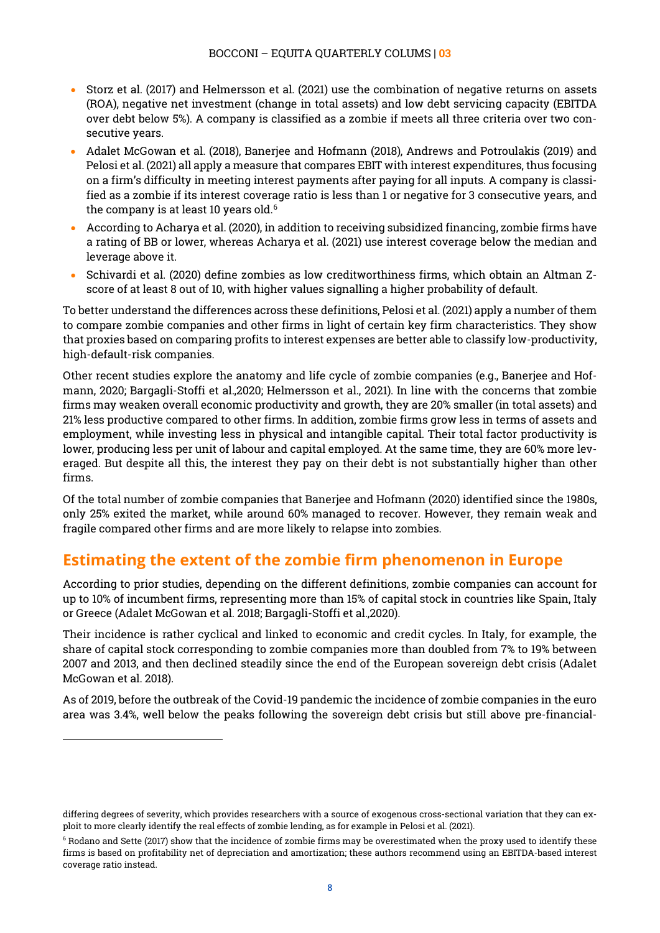- Storz et al. (2017) and Helmersson et al. (2021) use the combination of negative returns on assets (ROA), negative net investment (change in total assets) and low debt servicing capacity (EBITDA over debt below 5%). A company is classified as a zombie if meets all three criteria over two consecutive years.
- Adalet McGowan et al. (2018), Banerjee and Hofmann (2018), Andrews and Potroulakis (2019) and Pelosi et al. (2021) all apply a measure that compares EBIT with interest expenditures, thus focusing on a firm's difficulty in meeting interest payments after paying for all inputs. A company is classified as a zombie if its interest coverage ratio is less than 1 or negative for 3 consecutive years, and the company is at least 10 years old.<sup>[6](#page-7-1)</sup>
- According to Acharya et al. (2020), in addition to receiving subsidized financing, zombie firms have a rating of BB or lower, whereas Acharya et al. (2021) use interest coverage below the median and leverage above it.
- Schivardi et al. (2020) define zombies as low creditworthiness firms, which obtain an Altman Zscore of at least 8 out of 10, with higher values signalling a higher probability of default.

To better understand the differences across these definitions, Pelosi et al. (2021) apply a number of them to compare zombie companies and other firms in light of certain key firm characteristics. They show that proxies based on comparing profits to interest expenses are better able to classify low-productivity, high-default-risk companies.

Other recent studies explore the anatomy and life cycle of zombie companies (e.g., Banerjee and Hofmann, 2020; Bargagli-Stoffi et al.,2020; Helmersson et al., 2021). In line with the concerns that zombie firms may weaken overall economic productivity and growth, they are 20% smaller (in total assets) and 21% less productive compared to other firms. In addition, zombie firms grow less in terms of assets and employment, while investing less in physical and intangible capital. Their total factor productivity is lower, producing less per unit of labour and capital employed. At the same time, they are 60% more leveraged. But despite all this, the interest they pay on their debt is not substantially higher than other firms.

Of the total number of zombie companies that Banerjee and Hofmann (2020) identified since the 1980s, only 25% exited the market, while around 60% managed to recover. However, they remain weak and fragile compared other firms and are more likely to relapse into zombies.

## <span id="page-7-0"></span>**Estimating the extent of the zombie firm phenomenon in Europe**

According to prior studies, depending on the different definitions, zombie companies can account for up to 10% of incumbent firms, representing more than 15% of capital stock in countries like Spain, Italy or Greece (Adalet McGowan et al. 2018; Bargagli-Stoffi et al.,2020).

Their incidence is rather cyclical and linked to economic and credit cycles. In Italy, for example, the share of capital stock corresponding to zombie companies more than doubled from 7% to 19% between 2007 and 2013, and then declined steadily since the end of the European sovereign debt crisis (Adalet McGowan et al. 2018).

As of 2019, before the outbreak of the Covid-19 pandemic the incidence of zombie companies in the euro area was 3.4%, well below the peaks following the sovereign debt crisis but still above pre-financial-

differing degrees of severity, which provides researchers with a source of exogenous cross-sectional variation that they can exploit to more clearly identify the real effects of zombie lending, as for example in Pelosi et al. (2021).

<span id="page-7-1"></span> $6$  Rodano and Sette (2017) show that the incidence of zombie firms may be overestimated when the proxy used to identify these firms is based on profitability net of depreciation and amortization; these authors recommend using an EBITDA-based interest coverage ratio instead.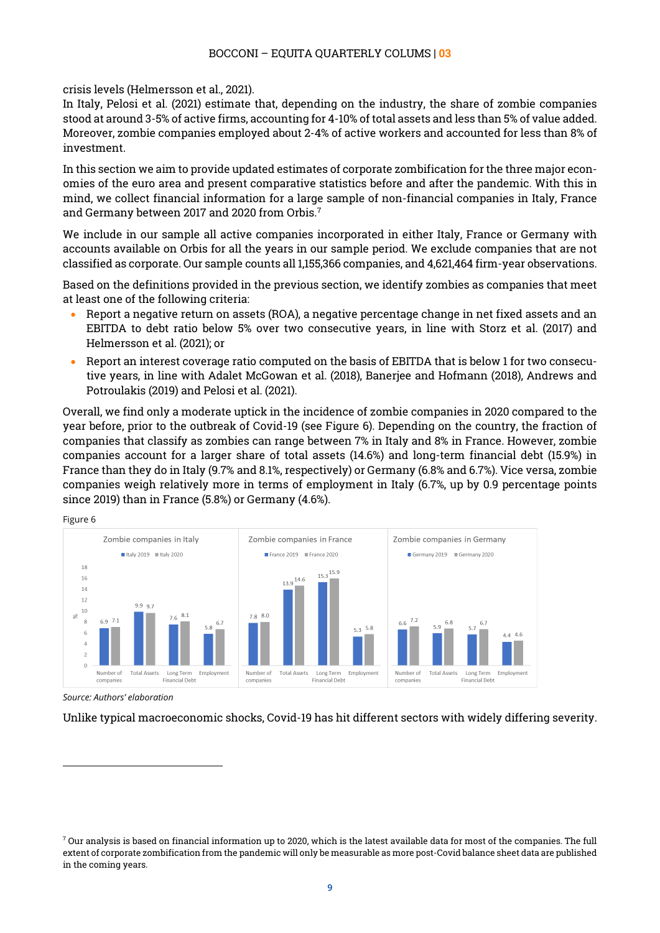crisis levels (Helmersson et al., 2021).

In Italy, Pelosi et al. (2021) estimate that, depending on the industry, the share of zombie companies stood at around 3-5% of active firms, accounting for 4-10% of total assets and less than 5% of value added. Moreover, zombie companies employed about 2-4% of active workers and accounted for less than 8% of investment.

In this section we aim to provide updated estimates of corporate zombification for the three major economies of the euro area and present comparative statistics before and after the pandemic. With this in mind, we collect financial information for a large sample of non-financial companies in Italy, France and Germany between 2017 and 2020 from Orbis[.7](#page-8-0)

We include in our sample all active companies incorporated in either Italy, France or Germany with accounts available on Orbis for all the years in our sample period. We exclude companies that are not classified as corporate. Our sample counts all 1,155,366 companies, and 4,621,464 firm-year observations.

Based on the definitions provided in the previous section, we identify zombies as companies that meet at least one of the following criteria:

- Report a negative return on assets (ROA), a negative percentage change in net fixed assets and an EBITDA to debt ratio below 5% over two consecutive years, in line with Storz et al. (2017) and Helmersson et al. (2021); or
- Report an interest coverage ratio computed on the basis of EBITDA that is below 1 for two consecutive years, in line with Adalet McGowan et al. (2018), Banerjee and Hofmann (2018), Andrews and Potroulakis (2019) and Pelosi et al. (2021).

Overall, we find only a moderate uptick in the incidence of zombie companies in 2020 compared to the year before, prior to the outbreak of Covid-19 (see Figure 6). Depending on the country, the fraction of companies that classify as zombies can range between 7% in Italy and 8% in France. However, zombie companies account for a larger share of total assets (14.6%) and long-term financial debt (15.9%) in France than they do in Italy (9.7% and 8.1%, respectively) or Germany (6.8% and 6.7%). Vice versa, zombie companies weigh relatively more in terms of employment in Italy (6.7%, up by 0.9 percentage points since 2019) than in France (5.8%) or Germany (4.6%).

Figure 6

 $\overline{a}$ 



*Source: Authors' elaboration*

Unlike typical macroeconomic shocks, Covid-19 has hit different sectors with widely differing severity.

<span id="page-8-0"></span> $^7$  Our analysis is based on financial information up to 2020, which is the latest available data for most of the companies. The full extent of corporate zombification from the pandemic will only be measurable as more post-Covid balance sheet data are published in the coming years.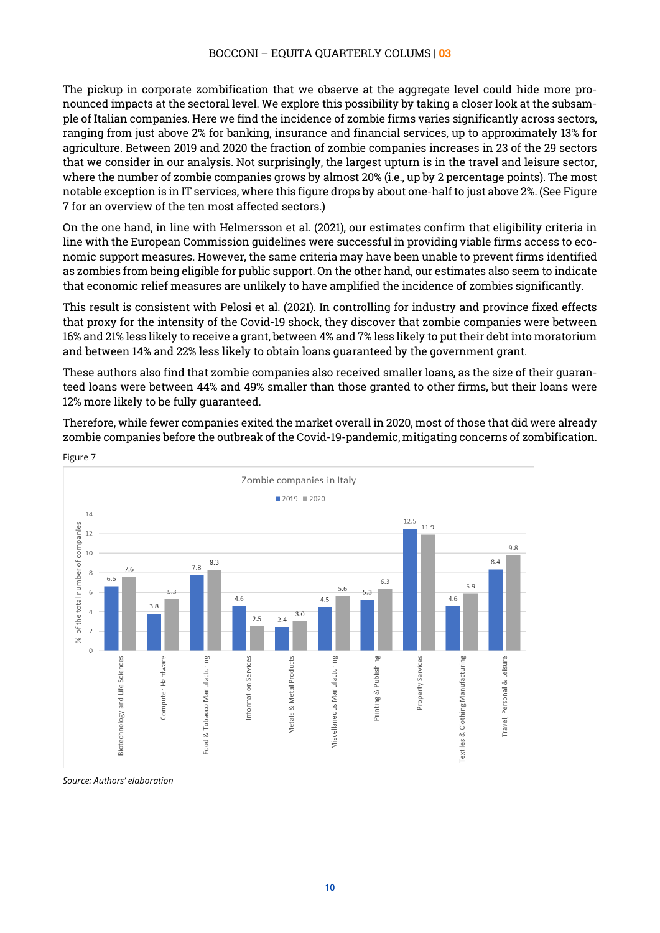The pickup in corporate zombification that we observe at the aggregate level could hide more pronounced impacts at the sectoral level. We explore this possibility by taking a closer look at the subsample of Italian companies. Here we find the incidence of zombie firms varies significantly across sectors, ranging from just above 2% for banking, insurance and financial services, up to approximately 13% for agriculture. Between 2019 and 2020 the fraction of zombie companies increases in 23 of the 29 sectors that we consider in our analysis. Not surprisingly, the largest upturn is in the travel and leisure sector, where the number of zombie companies grows by almost 20% (i.e., up by 2 percentage points). The most notable exception is in IT services, where this figure drops by about one-half to just above 2%. (See Figure 7 for an overview of the ten most affected sectors.)

On the one hand, in line with Helmersson et al. (2021), our estimates confirm that eligibility criteria in line with the European Commission guidelines were successful in providing viable firms access to economic support measures. However, the same criteria may have been unable to prevent firms identified as zombies from being eligible for public support. On the other hand, our estimates also seem to indicate that economic relief measures are unlikely to have amplified the incidence of zombies significantly.

This result is consistent with Pelosi et al. (2021). In controlling for industry and province fixed effects that proxy for the intensity of the Covid-19 shock, they discover that zombie companies were between 16% and 21% less likely to receive a grant, between 4% and 7% less likely to put their debt into moratorium and between 14% and 22% less likely to obtain loans guaranteed by the government grant.

These authors also find that zombie companies also received smaller loans, as the size of their guaranteed loans were between 44% and 49% smaller than those granted to other firms, but their loans were 12% more likely to be fully guaranteed.

Therefore, while fewer companies exited the market overall in 2020, most of those that did were already zombie companies before the outbreak of the Covid-19-pandemic, mitigating concerns of zombification.



Figure 7

*Source: Authors' elaboration*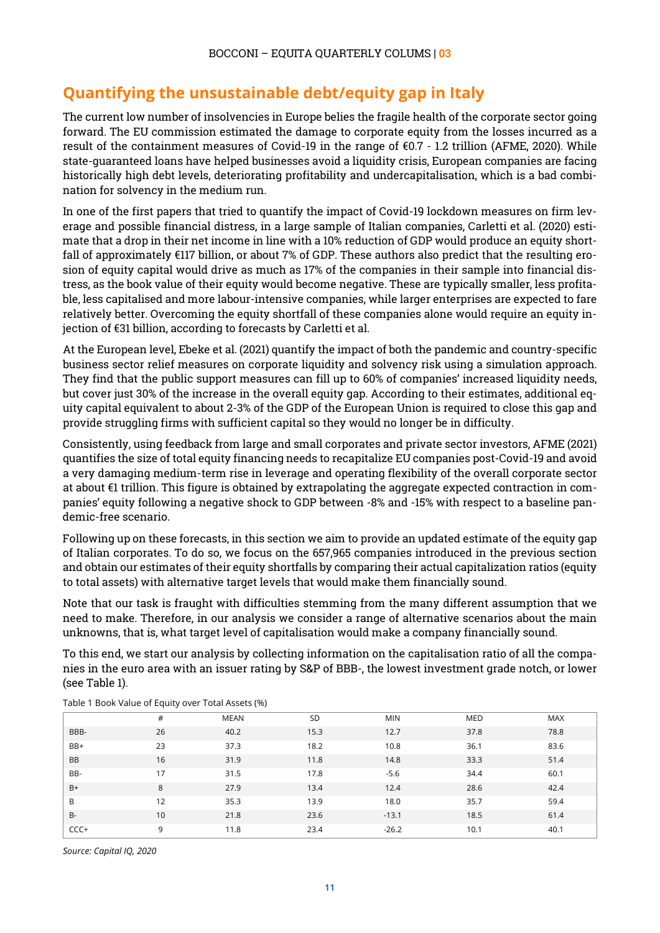## <span id="page-10-0"></span>**Quantifying the unsustainable debt/equity gap in Italy**

The current low number of insolvencies in Europe belies the fragile health of the corporate sector going forward. The EU commission estimated the damage to corporate equity from the losses incurred as a result of the containment measures of Covid-19 in the range of €0.7 - 1.2 trillion (AFME, 2020). While state-guaranteed loans have helped businesses avoid a liquidity crisis, European companies are facing historically high debt levels, deteriorating profitability and undercapitalisation, which is a bad combination for solvency in the medium run.

In one of the first papers that tried to quantify the impact of Covid-19 lockdown measures on firm leverage and possible financial distress, in a large sample of Italian companies, Carletti et al. (2020) estimate that a drop in their net income in line with a 10% reduction of GDP would produce an equity shortfall of approximately €117 billion, or about 7% of GDP. These authors also predict that the resulting erosion of equity capital would drive as much as 17% of the companies in their sample into financial distress, as the book value of their equity would become negative. These are typically smaller, less profitable, less capitalised and more labour-intensive companies, while larger enterprises are expected to fare relatively better. Overcoming the equity shortfall of these companies alone would require an equity injection of €31 billion, according to forecasts by Carletti et al.

At the European level, Ebeke et al. (2021) quantify the impact of both the pandemic and country-specific business sector relief measures on corporate liquidity and solvency risk using a simulation approach. They find that the public support measures can fill up to 60% of companies' increased liquidity needs, but cover just 30% of the increase in the overall equity gap. According to their estimates, additional equity capital equivalent to about 2-3% of the GDP of the European Union is required to close this gap and provide struggling firms with sufficient capital so they would no longer be in difficulty.

Consistently, using feedback from large and small corporates and private sector investors, AFME (2021) quantifies the size of total equity financing needs to recapitalize EU companies post-Covid-19 and avoid a very damaging medium-term rise in leverage and operating flexibility of the overall corporate sector at about €1 trillion. This figure is obtained by extrapolating the aggregate expected contraction in companies' equity following a negative shock to GDP between -8% and -15% with respect to a baseline pandemic-free scenario.

Following up on these forecasts, in this section we aim to provide an updated estimate of the equity gap of Italian corporates. To do so, we focus on the 657,965 companies introduced in the previous section and obtain our estimates of their equity shortfalls by comparing their actual capitalization ratios (equity to total assets) with alternative target levels that would make them financially sound.

Note that our task is fraught with difficulties stemming from the many different assumption that we need to make. Therefore, in our analysis we consider a range of alternative scenarios about the main unknowns, that is, what target level of capitalisation would make a company financially sound.

To this end, we start our analysis by collecting information on the capitalisation ratio of all the companies in the euro area with an issuer rating by S&P of BBB-, the lowest investment grade notch, or lower (see Table 1).

|       | $\overline{\phantom{a}}$ | $\cdot$ $\cdot$ |           |            |      |            |
|-------|--------------------------|-----------------|-----------|------------|------|------------|
|       | #                        | MEAN            | <b>SD</b> | <b>MIN</b> | MED  | <b>MAX</b> |
| BBB-  | 26                       | 40.2            | 15.3      | 12.7       | 37.8 | 78.8       |
| BB+   | 23                       | 37.3            | 18.2      | 10.8       | 36.1 | 83.6       |
| BB    | 16                       | 31.9            | 11.8      | 14.8       | 33.3 | 51.4       |
| BB-   | 17                       | 31.5            | 17.8      | $-5.6$     | 34.4 | 60.1       |
| $B+$  | 8                        | 27.9            | 13.4      | 12.4       | 28.6 | 42.4       |
| B     | 12                       | 35.3            | 13.9      | 18.0       | 35.7 | 59.4       |
| $B -$ | 10                       | 21.8            | 23.6      | $-13.1$    | 18.5 | 61.4       |
| CCC+  | 9                        | 11.8            | 23.4      | $-26.2$    | 10.1 | 40.1       |

Table 1 Book Value of Equity over Total Assets (%)

*Source: Capital IQ, 2020*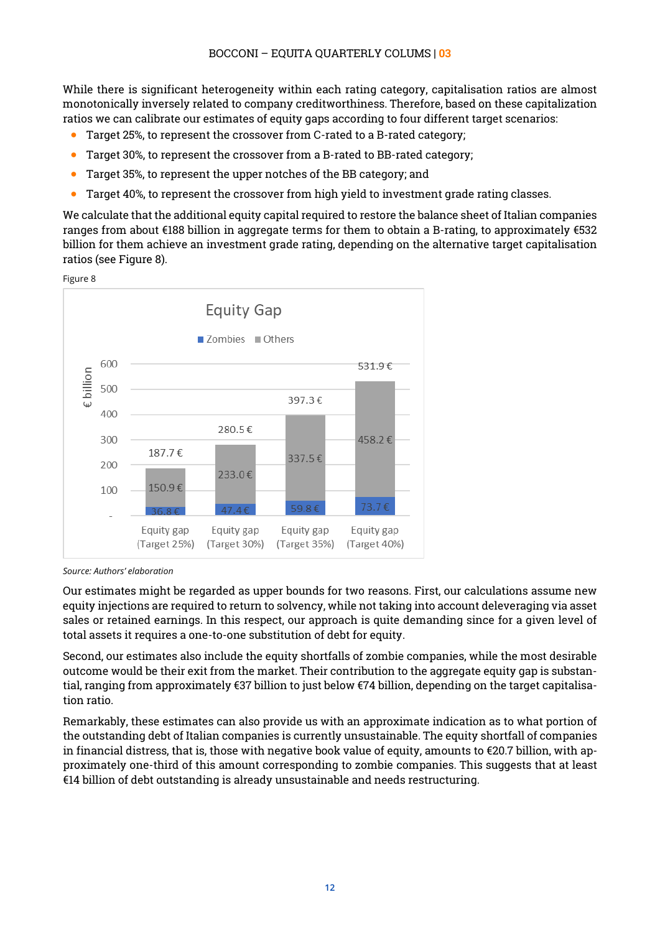While there is significant heterogeneity within each rating category, capitalisation ratios are almost monotonically inversely related to company creditworthiness. Therefore, based on these capitalization ratios we can calibrate our estimates of equity gaps according to four different target scenarios:

- Target 25%, to represent the crossover from C-rated to a B-rated category;
- Target 30%, to represent the crossover from a B-rated to BB-rated category;
- Target 35%, to represent the upper notches of the BB category; and
- Target 40%, to represent the crossover from high yield to investment grade rating classes.

We calculate that the additional equity capital required to restore the balance sheet of Italian companies ranges from about  $\epsilon$ 188 billion in aggregate terms for them to obtain a B-rating, to approximately  $\epsilon$ 532 billion for them achieve an investment grade rating, depending on the alternative target capitalisation ratios (see Figure 8).





*Source: Authors' elaboration*

Our estimates might be regarded as upper bounds for two reasons. First, our calculations assume new equity injections are required to return to solvency, while not taking into account deleveraging via asset sales or retained earnings. In this respect, our approach is quite demanding since for a given level of total assets it requires a one-to-one substitution of debt for equity.

Second, our estimates also include the equity shortfalls of zombie companies, while the most desirable outcome would be their exit from the market. Their contribution to the aggregate equity gap is substantial, ranging from approximately €37 billion to just below €74 billion, depending on the target capitalisation ratio.

Remarkably, these estimates can also provide us with an approximate indication as to what portion of the outstanding debt of Italian companies is currently unsustainable. The equity shortfall of companies in financial distress, that is, those with negative book value of equity, amounts to  $\epsilon$ 20.7 billion, with approximately one-third of this amount corresponding to zombie companies. This suggests that at least €14 billion of debt outstanding is already unsustainable and needs restructuring.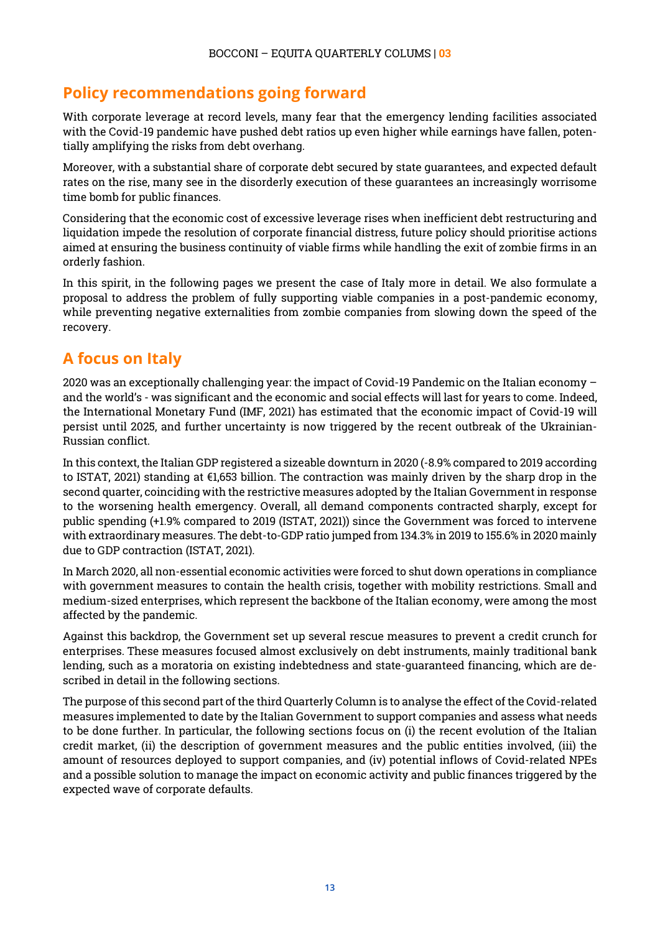## <span id="page-12-0"></span>**Policy recommendations going forward**

With corporate leverage at record levels, many fear that the emergency lending facilities associated with the Covid-19 pandemic have pushed debt ratios up even higher while earnings have fallen, potentially amplifying the risks from debt overhang.

Moreover, with a substantial share of corporate debt secured by state guarantees, and expected default rates on the rise, many see in the disorderly execution of these guarantees an increasingly worrisome time bomb for public finances.

Considering that the economic cost of excessive leverage rises when inefficient debt restructuring and liquidation impede the resolution of corporate financial distress, future policy should prioritise actions aimed at ensuring the business continuity of viable firms while handling the exit of zombie firms in an orderly fashion.

In this spirit, in the following pages we present the case of Italy more in detail. We also formulate a proposal to address the problem of fully supporting viable companies in a post-pandemic economy, while preventing negative externalities from zombie companies from slowing down the speed of the recovery.

## <span id="page-12-1"></span>**A focus on Italy**

2020 was an exceptionally challenging year: the impact of Covid-19 Pandemic on the Italian economy – and the world's - was significant and the economic and social effects will last for years to come. Indeed, the International Monetary Fund (IMF, 2021) has estimated that the economic impact of Covid-19 will persist until 2025, and further uncertainty is now triggered by the recent outbreak of the Ukrainian-Russian conflict.

In this context, the Italian GDP registered a sizeable downturn in 2020 (-8.9% compared to 2019 according to ISTAT, 2021) standing at €1,653 billion. The contraction was mainly driven by the sharp drop in the second quarter, coinciding with the restrictive measures adopted by the Italian Government in response to the worsening health emergency. Overall, all demand components contracted sharply, except for public spending (+1.9% compared to 2019 (ISTAT, 2021)) since the Government was forced to intervene with extraordinary measures. The debt-to-GDP ratio jumped from 134.3% in 2019 to 155.6% in 2020 mainly due to GDP contraction (ISTAT, 2021).

In March 2020, all non-essential economic activities were forced to shut down operations in compliance with government measures to contain the health crisis, together with mobility restrictions. Small and medium-sized enterprises, which represent the backbone of the Italian economy, were among the most affected by the pandemic.

Against this backdrop, the Government set up several rescue measures to prevent a credit crunch for enterprises. These measures focused almost exclusively on debt instruments, mainly traditional bank lending, such as a moratoria on existing indebtedness and state-guaranteed financing, which are described in detail in the following sections.

The purpose of this second part of the third Quarterly Column is to analyse the effect of the Covid-related measures implemented to date by the Italian Government to support companies and assess what needs to be done further. In particular, the following sections focus on (i) the recent evolution of the Italian credit market, (ii) the description of government measures and the public entities involved, (iii) the amount of resources deployed to support companies, and (iv) potential inflows of Covid-related NPEs and a possible solution to manage the impact on economic activity and public finances triggered by the expected wave of corporate defaults.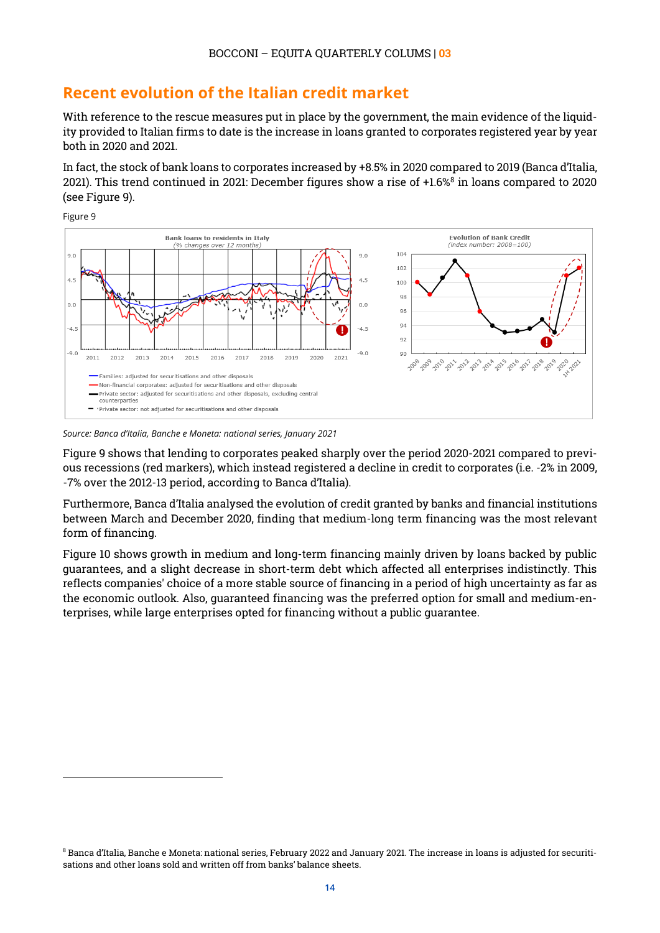### <span id="page-13-0"></span>**Recent evolution of the Italian credit market**

With reference to the rescue measures put in place by the government, the main evidence of the liquidity provided to Italian firms to date is the increase in loans granted to corporates registered year by year both in 2020 and 2021.

In fact, the stock of bank loans to corporates increased by +8.5% in 2020 compared to 2019 (Banca d'Italia, 2021). This trend continued in 2021: December figures show a rise of +1.6[%8](#page-13-1) in loans compared to 2020 (see Figure 9).



*Source: Banca d'Italia, Banche e Moneta: national series, January 2021*

 $\overline{a}$ 

Figure 9 shows that lending to corporates peaked sharply over the period 2020-2021 compared to previous recessions (red markers), which instead registered a decline in credit to corporates (i.e. -2% in 2009, -7% over the 2012-13 period, according to Banca d'Italia).

Furthermore, Banca d'Italia analysed the evolution of credit granted by banks and financial institutions between March and December 2020, finding that medium-long term financing was the most relevant form of financing.

Figure 10 shows growth in medium and long-term financing mainly driven by loans backed by public guarantees, and a slight decrease in short-term debt which affected all enterprises indistinctly. This reflects companies' choice of a more stable source of financing in a period of high uncertainty as far as the economic outlook. Also, guaranteed financing was the preferred option for small and medium-enterprises, while large enterprises opted for financing without a public guarantee.

<span id="page-13-1"></span><sup>8</sup> Banca d'Italia, Banche e Moneta: national series, February 2022 and January 2021. The increase in loans is adjusted for securitisations and other loans sold and written off from banks' balance sheets.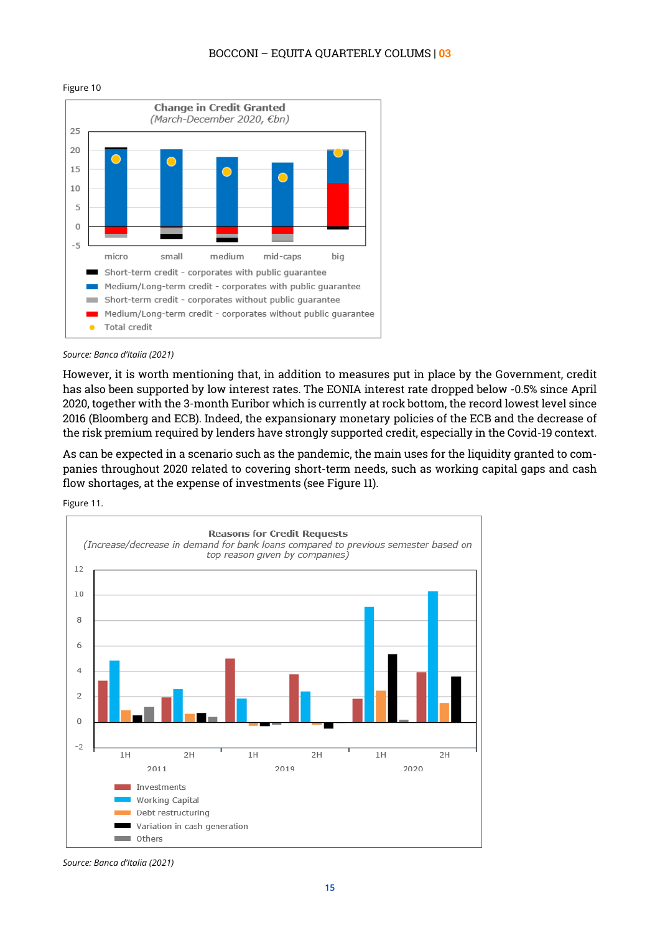#### BOCCONI – EQUITA QUARTERLY COLUMS | **03**



#### Figure 10



However, it is worth mentioning that, in addition to measures put in place by the Government, credit has also been supported by low interest rates. The EONIA interest rate dropped below -0.5% since April 2020, together with the 3-month Euribor which is currently at rock bottom, the record lowest level since 2016 (Bloomberg and ECB). Indeed, the expansionary monetary policies of the ECB and the decrease of the risk premium required by lenders have strongly supported credit, especially in the Covid-19 context.

As can be expected in a scenario such as the pandemic, the main uses for the liquidity granted to companies throughout 2020 related to covering short-term needs, such as working capital gaps and cash flow shortages, at the expense of investments (see Figure 11).

Figure 11.



*Source: Banca d'Italia (2021)*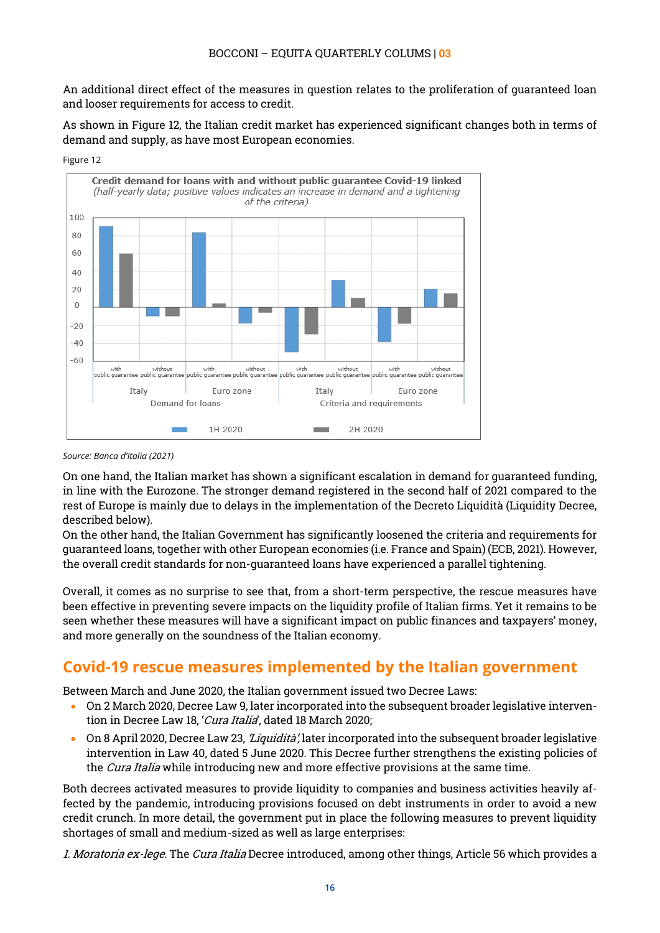An additional direct effect of the measures in question relates to the proliferation of guaranteed loan and looser requirements for access to credit.

As shown in Figure 12, the Italian credit market has experienced significant changes both in terms of demand and supply, as have most European economies.



Figure 12

On one hand, the Italian market has shown a significant escalation in demand for guaranteed funding, in line with the Eurozone. The stronger demand registered in the second half of 2021 compared to the rest of Europe is mainly due to delays in the implementation of the Decreto Liquidità (Liquidity Decree, described below).

On the other hand, the Italian Government has significantly loosened the criteria and requirements for guaranteed loans, together with other European economies (i.e. France and Spain) (ECB, 2021). However, the overall credit standards for non-guaranteed loans have experienced a parallel tightening.

Overall, it comes as no surprise to see that, from a short-term perspective, the rescue measures have been effective in preventing severe impacts on the liquidity profile of Italian firms. Yet it remains to be seen whether these measures will have a significant impact on public finances and taxpayers' money, and more generally on the soundness of the Italian economy.

## <span id="page-15-0"></span>**Covid-19 rescue measures implemented by the Italian government**

Between March and June 2020, the Italian government issued two Decree Laws:

- On 2 March 2020, Decree Law 9, later incorporated into the subsequent broader legislative intervention in Decree Law 18, 'Cura Italia', dated 18 March 2020;
- On 8 April 2020, Decree Law 23, *'Liquidità'*, later incorporated into the subsequent broader legislative intervention in Law 40, dated 5 June 2020. This Decree further strengthens the existing policies of the *Cura Italia* while introducing new and more effective provisions at the same time.

Both decrees activated measures to provide liquidity to companies and business activities heavily affected by the pandemic, introducing provisions focused on debt instruments in order to avoid a new credit crunch. In more detail, the government put in place the following measures to prevent liquidity shortages of small and medium-sized as well as large enterprises:

1. Moratoria ex-lege. The Cura Italia Decree introduced, among other things, Article 56 which provides a

*Source: Banca d'Italia (2021)*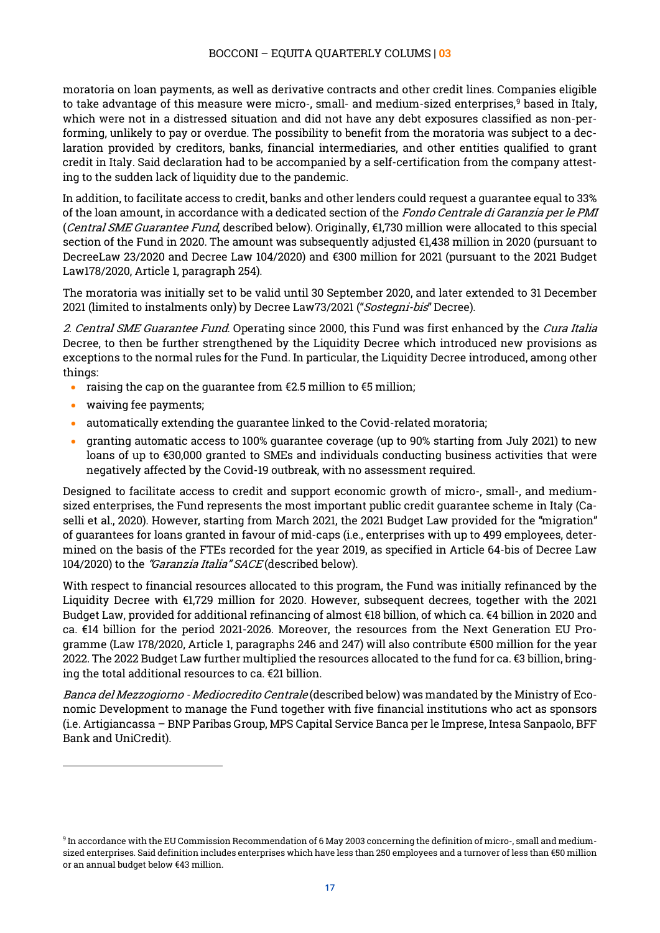moratoria on loan payments, as well as derivative contracts and other credit lines. Companies eligible to take advantage of this measure were micro-, small- and medium-sized enterprises,<sup>[9](#page-16-0)</sup> based in Italy, which were not in a distressed situation and did not have any debt exposures classified as non-performing, unlikely to pay or overdue. The possibility to benefit from the moratoria was subject to a declaration provided by creditors, banks, financial intermediaries, and other entities qualified to grant credit in Italy. Said declaration had to be accompanied by a self-certification from the company attesting to the sudden lack of liquidity due to the pandemic.

In addition, to facilitate access to credit, banks and other lenders could request a guarantee equal to 33% of the loan amount, in accordance with a dedicated section of the Fondo Centrale di Garanzia per le PMI (Central SME Guarantee Fund, described below). Originally,  $E1,730$  million were allocated to this special section of the Fund in 2020. The amount was subsequently adjusted €1,438 million in 2020 (pursuant to DecreeLaw 23/2020 and Decree Law 104/2020) and €300 million for 2021 (pursuant to the 2021 Budget Law178/2020, Article 1, paragraph 254).

The moratoria was initially set to be valid until 30 September 2020, and later extended to 31 December 2021 (limited to instalments only) by Decree Law73/2021 ("Sostegni-bis" Decree).

2. Central SME Guarantee Fund. Operating since 2000, this Fund was first enhanced by the Cura Italia Decree, to then be further strengthened by the Liquidity Decree which introduced new provisions as exceptions to the normal rules for the Fund. In particular, the Liquidity Decree introduced, among other things:

- raising the cap on the guarantee from  $E$ 2.5 million to  $E$ 5 million;
- waiving fee payments;

 $\overline{a}$ 

- automatically extending the guarantee linked to the Covid-related moratoria;
- granting automatic access to 100% guarantee coverage (up to 90% starting from July 2021) to new loans of up to €30,000 granted to SMEs and individuals conducting business activities that were negatively affected by the Covid-19 outbreak, with no assessment required.

Designed to facilitate access to credit and support economic growth of micro-, small-, and mediumsized enterprises, the Fund represents the most important public credit guarantee scheme in Italy (Caselli et al., 2020). However, starting from March 2021, the 2021 Budget Law provided for the "migration" of guarantees for loans granted in favour of mid-caps (i.e., enterprises with up to 499 employees, determined on the basis of the FTEs recorded for the year 2019, as specified in Article 64-bis of Decree Law 104/2020) to the "Garanzia Italia" SACE (described below).

With respect to financial resources allocated to this program, the Fund was initially refinanced by the Liquidity Decree with €1,729 million for 2020. However, subsequent decrees, together with the 2021 Budget Law, provided for additional refinancing of almost €18 billion, of which ca. €4 billion in 2020 and ca. €14 billion for the period 2021-2026. Moreover, the resources from the Next Generation EU Programme (Law 178/2020, Article 1, paragraphs 246 and 247) will also contribute €500 million for the year 2022. The 2022 Budget Law further multiplied the resources allocated to the fund for ca. €3 billion, bringing the total additional resources to ca. €21 billion.

Banca del Mezzogiorno - Mediocredito Centrale (described below) was mandated by the Ministry of Economic Development to manage the Fund together with five financial institutions who act as sponsors (i.e. Artigiancassa – BNP Paribas Group, MPS Capital Service Banca per le Imprese, Intesa Sanpaolo, BFF Bank and UniCredit).

<span id="page-16-0"></span><sup>9</sup> In accordance with the EU Commission Recommendation of 6 May 2003 concerning the definition of micro-, small and mediumsized enterprises. Said definition includes enterprises which have less than 250 employees and a turnover of less than €50 million or an annual budget below €43 million.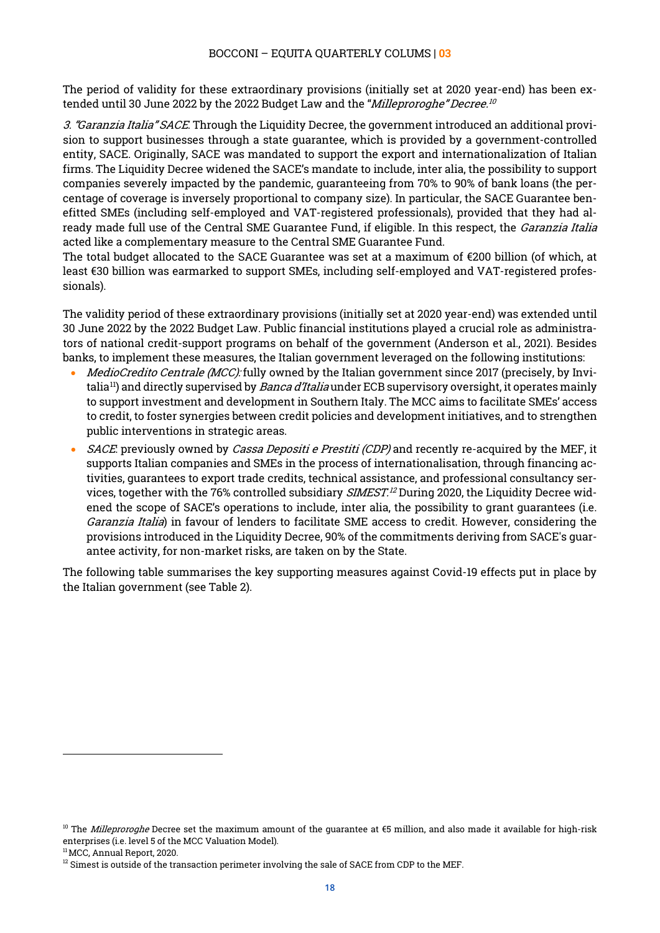The period of validity for these extraordinary provisions (initially set at 2020 year-end) has been extended until 30 June 2022 by the 2022 Budget Law and the "*Milleproroghe" Decree.<sup>[10](#page-17-0)</sup>* 

3. "Garanzia Italia" SACE. Through the Liquidity Decree, the government introduced an additional provision to support businesses through a state guarantee, which is provided by a government-controlled entity, SACE. Originally, SACE was mandated to support the export and internationalization of Italian firms. The Liquidity Decree widened the SACE's mandate to include, inter alia, the possibility to support companies severely impacted by the pandemic, guaranteeing from 70% to 90% of bank loans (the percentage of coverage is inversely proportional to company size). In particular, the SACE Guarantee benefitted SMEs (including self-employed and VAT-registered professionals), provided that they had already made full use of the Central SME Guarantee Fund, if eligible. In this respect, the *Garanzia Italia* acted like a complementary measure to the Central SME Guarantee Fund.

The total budget allocated to the SACE Guarantee was set at a maximum of €200 billion (of which, at least €30 billion was earmarked to support SMEs, including self-employed and VAT-registered professionals).

The validity period of these extraordinary provisions (initially set at 2020 year-end) was extended until 30 June 2022 by the 2022 Budget Law. Public financial institutions played a crucial role as administrators of national credit-support programs on behalf of the government (Anderson et al., 2021). Besides banks, to implement these measures, the Italian government leveraged on the following institutions:

- *MedioCredito Centrale (MCC):* fully owned by the Italian government since 2017 (precisely, by Invitalia<sup>11</sup>) and directly supervised by *Banca d'Italia* under ECB supervisory oversight, it operates mainly to support investment and development in Southern Italy. The MCC aims to facilitate SMEs' access to credit, to foster synergies between credit policies and development initiatives, and to strengthen public interventions in strategic areas.
- SACE: previously owned by Cassa Depositi e Prestiti (CDP) and recently re-acquired by the MEF, it supports Italian companies and SMEs in the process of internationalisation, through financing activities, guarantees to export trade credits, technical assistance, and professional consultancy services, together with the 76% controlled subsidiary *SIMEST.<sup>[12](#page-17-2)</sup>* During 2020, the Liquidity Decree widened the scope of SACE's operations to include, inter alia, the possibility to grant guarantees (i.e. Garanzia Italia) in favour of lenders to facilitate SME access to credit. However, considering the provisions introduced in the Liquidity Decree, 90% of the commitments deriving from SACE's guarantee activity, for non-market risks, are taken on by the State.

The following table summarises the key supporting measures against Covid-19 effects put in place by the Italian government (see Table 2).

<span id="page-17-0"></span><sup>&</sup>lt;sup>10</sup> The *Milleproroghe* Decree set the maximum amount of the guarantee at €5 million, and also made it available for high-risk enterprises (i.e. level 5 of the MCC Valuation Model).

<span id="page-17-1"></span><sup>11</sup>MCC, Annual Report, 2020.

<span id="page-17-2"></span> $12$  Simest is outside of the transaction perimeter involving the sale of SACE from CDP to the MEF.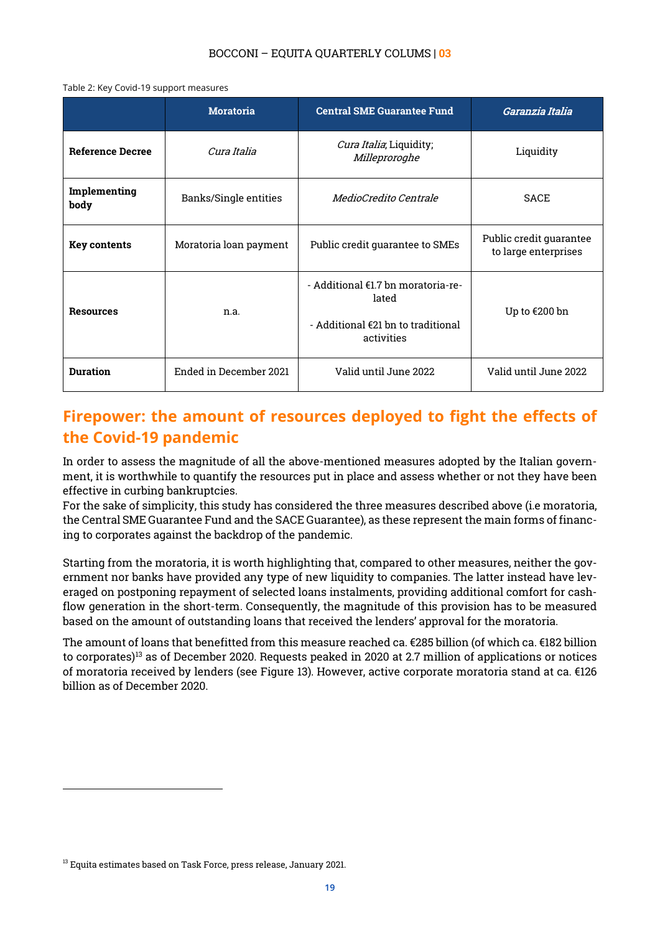Table 2: Key Covid-19 support measures

|                         | <b>Moratoria</b>       | <b>Central SME Guarantee Fund</b>                                                                  | Garanzia Italia                                 |  |
|-------------------------|------------------------|----------------------------------------------------------------------------------------------------|-------------------------------------------------|--|
| <b>Reference Decree</b> | Cura Italia            | Cura Italia, Liquidity;<br>Milleproroghe                                                           | Liquidity                                       |  |
| Implementing<br>body    | Banks/Single entities  | <i>MedioCredito Centrale</i>                                                                       | <b>SACE</b>                                     |  |
| Key contents            | Moratoria loan payment | Public credit guarantee to SMEs                                                                    | Public credit guarantee<br>to large enterprises |  |
| <b>Resources</b>        | n.a.                   | - Additional €1.7 bn moratoria-re-<br>lated<br>- Additional $f(2)$ bn to traditional<br>activities | Up to €200 bn                                   |  |
| <b>Duration</b>         | Ended in December 2021 | Valid until June 2022                                                                              | Valid until June 2022                           |  |

## <span id="page-18-0"></span>**Firepower: the amount of resources deployed to fight the effects of the Covid-19 pandemic**

In order to assess the magnitude of all the above-mentioned measures adopted by the Italian government, it is worthwhile to quantify the resources put in place and assess whether or not they have been effective in curbing bankruptcies.

For the sake of simplicity, this study has considered the three measures described above (i.e moratoria, the Central SME Guarantee Fund and the SACE Guarantee), as these represent the main forms of financing to corporates against the backdrop of the pandemic.

Starting from the moratoria, it is worth highlighting that, compared to other measures, neither the government nor banks have provided any type of new liquidity to companies. The latter instead have leveraged on postponing repayment of selected loans instalments, providing additional comfort for cashflow generation in the short-term. Consequently, the magnitude of this provision has to be measured based on the amount of outstanding loans that received the lenders' approval for the moratoria.

The amount of loans that benefitted from this measure reached ca. €285 billion (of which ca. €182 billion to corporates)[13](#page-18-1) as of December 2020. Requests peaked in 2020 at 2.7 million of applications or notices of moratoria received by lenders (see Figure 13). However, active corporate moratoria stand at ca. €126 billion as of December 2020.

<span id="page-18-1"></span><sup>&</sup>lt;sup>13</sup> Equita estimates based on Task Force, press release, January 2021.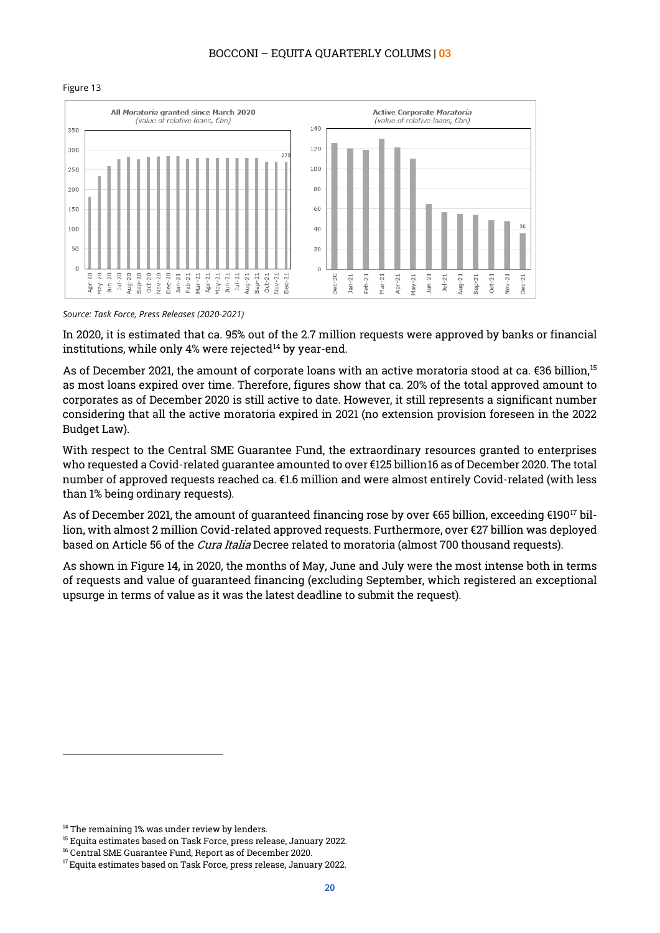#### BOCCONI – EQUITA QUARTERLY COLUMS | **03**





*Source: Task Force, Press Releases (2020-2021)*

In 2020, it is estimated that ca. 95% out of the 2.7 million requests were approved by banks or financial institutions, while only 4% were rejected $14$  by year-end.

As of December 2021, the amount of corporate loans with an active moratoria stood at ca. €36 billion, $^{\rm 15}$  $^{\rm 15}$  $^{\rm 15}$ as most loans expired over time. Therefore, figures show that ca. 20% of the total approved amount to corporates as of December 2020 is still active to date. However, it still represents a significant number considering that all the active moratoria expired in 2021 (no extension provision foreseen in the 2022 Budget Law).

With respect to the Central SME Guarantee Fund, the extraordinary resources granted to enterprises who requested a Covid-related guarantee amounted to over €125 billion[16](#page-19-2) as of December 2020. The total number of approved requests reached ca. €1.6 million and were almost entirely Covid-related (with less than 1% being ordinary requests).

As of December 2021, the amount of guaranteed financing rose by over €65 billion, exceeding €19[017](#page-19-3) billion, with almost 2 million Covid-related approved requests. Furthermore, over €27 billion was deployed based on Article 56 of the *Cura Italia* Decree related to moratoria (almost 700 thousand requests).

As shown in Figure 14, in 2020, the months of May, June and July were the most intense both in terms of requests and value of guaranteed financing (excluding September, which registered an exceptional upsurge in terms of value as it was the latest deadline to submit the request).

<span id="page-19-0"></span><sup>&</sup>lt;sup>14</sup> The remaining 1% was under review by lenders.

<span id="page-19-1"></span><sup>&</sup>lt;sup>15</sup> Equita estimates based on Task Force, press release, January 2022.

<span id="page-19-2"></span><sup>&</sup>lt;sup>16</sup> Central SME Guarantee Fund, Report as of December 2020.

<span id="page-19-3"></span> $17$  Equita estimates based on Task Force, press release, January 2022.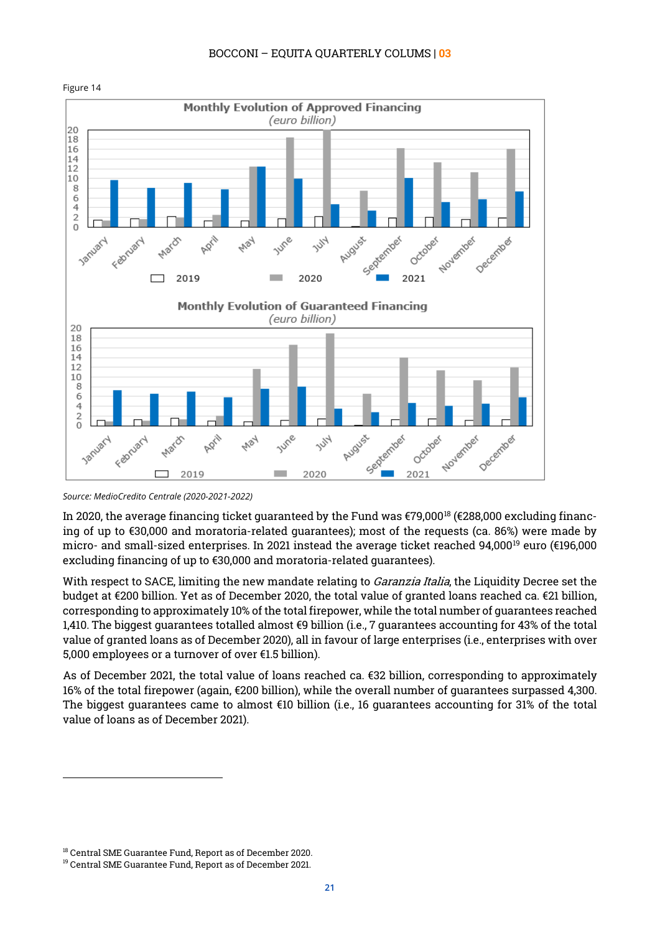

In 2020, the average financing ticket guaranteed by the Fund was  $\epsilon$ 79,000<sup>[18](#page-20-0)</sup> ( $\epsilon$ 288,000 excluding financing of up to €30,000 and moratoria-related guarantees); most of the requests (ca. 86%) were made by micro- and small-sized enterprises. In 2021 instead the average ticket reached 94,000[19](#page-20-1) euro (€196,000 excluding financing of up to €30,000 and moratoria-related guarantees).

With respect to SACE, limiting the new mandate relating to *Garanzia Italia*, the Liquidity Decree set the budget at €200 billion. Yet as of December 2020, the total value of granted loans reached ca. €21 billion, corresponding to approximately 10% of the total firepower, while the total number of guarantees reached 1,410. The biggest guarantees totalled almost €9 billion (i.e., 7 guarantees accounting for 43% of the total value of granted loans as of December 2020), all in favour of large enterprises (i.e., enterprises with over 5,000 employees or a turnover of over €1.5 billion).

As of December 2021, the total value of loans reached ca. €32 billion, corresponding to approximately 16% of the total firepower (again, €200 billion), while the overall number of guarantees surpassed 4,300. The biggest guarantees came to almost €10 billion (i.e., 16 guarantees accounting for 31% of the total value of loans as of December 2021).

*Source: MedioCredito Centrale (2020-2021-2022)*

<sup>18</sup> Central SME Guarantee Fund, Report as of December 2020.

<span id="page-20-1"></span><span id="page-20-0"></span><sup>&</sup>lt;sup>19</sup> Central SME Guarantee Fund, Report as of December 2021.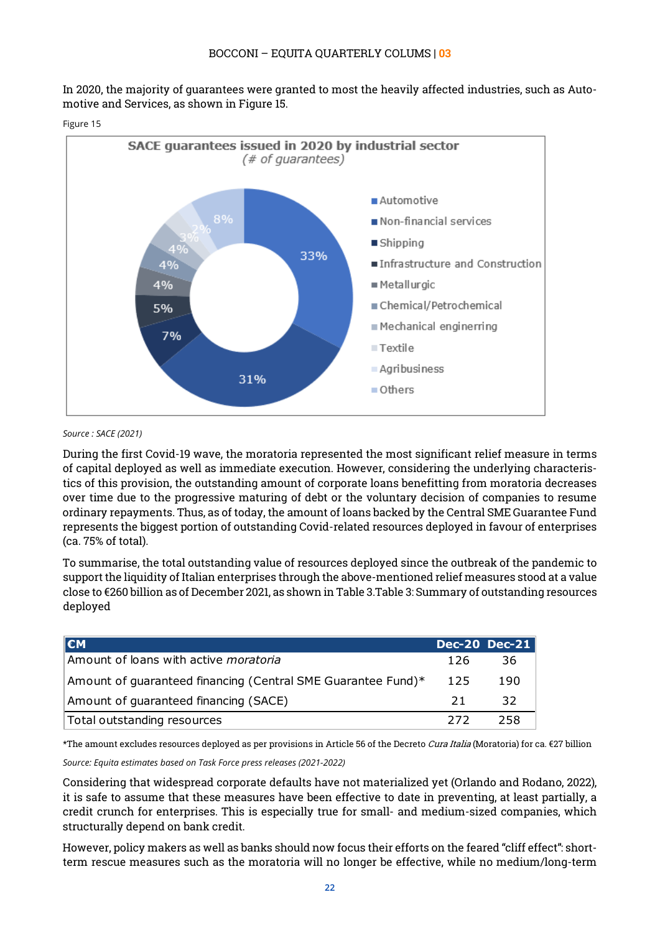In 2020, the majority of guarantees were granted to most the heavily affected industries, such as Automotive and Services, as shown in Figure 15.



#### Figure 15

#### *Source : SACE (2021)*

During the first Covid-19 wave, the moratoria represented the most significant relief measure in terms of capital deployed as well as immediate execution. However, considering the underlying characteristics of this provision, the outstanding amount of corporate loans benefitting from moratoria decreases over time due to the progressive maturing of debt or the voluntary decision of companies to resume ordinary repayments. Thus, as of today, the amount of loans backed by the Central SME Guarantee Fund represents the biggest portion of outstanding Covid-related resources deployed in favour of enterprises (ca. 75% of total).

To summarise, the total outstanding value of resources deployed since the outbreak of the pandemic to support the liquidity of Italian enterprises through the above-mentioned relief measures stood at a value close to €260 billion as of December 2021, as shown in Table 3.Table 3: Summary of outstanding resources deployed

| l€M                                                          |      | <b>Dec-20 Dec-21</b> |
|--------------------------------------------------------------|------|----------------------|
| Amount of loans with active <i>moratoria</i>                 | 126  | -36                  |
| Amount of quaranteed financing (Central SME Guarantee Fund)* | -125 | 190                  |
| Amount of quaranteed financing (SACE)                        | 21   | -32                  |
| Total outstanding resources                                  | -272 | 258                  |

\*The amount excludes resources deployed as per provisions in Article 56 of the Decreto Cura Italia (Moratoria) for ca. €27 billion

*Source: Equita estimates based on Task Force press releases (2021-2022)*

Considering that widespread corporate defaults have not materialized yet (Orlando and Rodano, 2022), it is safe to assume that these measures have been effective to date in preventing, at least partially, a credit crunch for enterprises. This is especially true for small- and medium-sized companies, which structurally depend on bank credit.

However, policy makers as well as banks should now focus their efforts on the feared "cliff effect": shortterm rescue measures such as the moratoria will no longer be effective, while no medium/long-term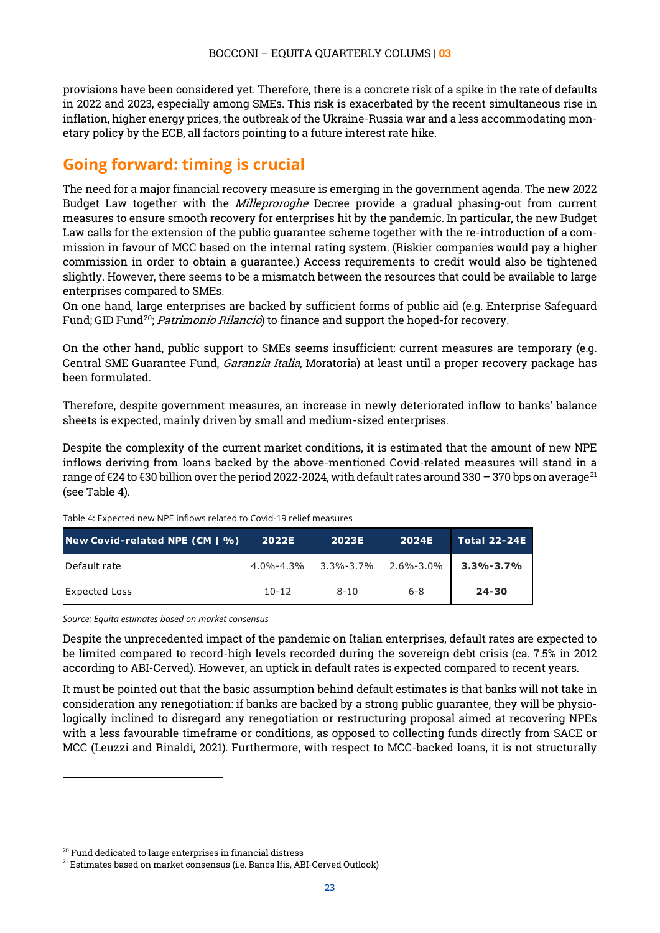provisions have been considered yet. Therefore, there is a concrete risk of a spike in the rate of defaults in 2022 and 2023, especially among SMEs. This risk is exacerbated by the recent simultaneous rise in inflation, higher energy prices, the outbreak of the Ukraine-Russia war and a less accommodating monetary policy by the ECB, all factors pointing to a future interest rate hike.

## <span id="page-22-0"></span>**Going forward: timing is crucial**

The need for a major financial recovery measure is emerging in the government agenda. The new 2022 Budget Law together with the *Milleproroghe* Decree provide a gradual phasing-out from current measures to ensure smooth recovery for enterprises hit by the pandemic. In particular, the new Budget Law calls for the extension of the public guarantee scheme together with the re-introduction of a commission in favour of MCC based on the internal rating system. (Riskier companies would pay a higher commission in order to obtain a guarantee.) Access requirements to credit would also be tightened slightly. However, there seems to be a mismatch between the resources that could be available to large enterprises compared to SMEs.

On one hand, large enterprises are backed by sufficient forms of public aid (e.g. Enterprise Safeguard Fund; GID Fund<sup>[20](#page-22-1)</sup>; *Patrimonio Rilancio*) to finance and support the hoped-for recovery.

On the other hand, public support to SMEs seems insufficient: current measures are temporary (e.g. Central SME Guarantee Fund, Garanzia Italia, Moratoria) at least until a proper recovery package has been formulated.

Therefore, despite government measures, an increase in newly deteriorated inflow to banks' balance sheets is expected, mainly driven by small and medium-sized enterprises.

Despite the complexity of the current market conditions, it is estimated that the amount of new NPE inflows deriving from loans backed by the above-mentioned Covid-related measures will stand in a range of  $\epsilon$ 24 to  $\epsilon$ 30 billion over the period 2022-2024, with default rates around 330 – 370 bps on average<sup>[21](#page-22-2)</sup> (see Table 4).

Table 4: Expected new NPE inflows related to Covid-19 relief measures

| New Covid-related NPE $(\mathbf{CM}   \mathcal{Y}_0)$ | 2022E     | <b>2023E</b>                                    | <b>2024E</b> | <b>Total 22-24E</b> |
|-------------------------------------------------------|-----------|-------------------------------------------------|--------------|---------------------|
| Default rate                                          |           | $4.0\% - 4.3\%$ $3.3\% - 3.7\%$ $2.6\% - 3.0\%$ |              | $3.3\% - 3.7\%$     |
| <b>Expected Loss</b>                                  | $10 - 12$ | $8 - 10$                                        | $6 - 8$      | $24 - 30$           |

*Source: Equita estimates based on market consensus*

Despite the unprecedented impact of the pandemic on Italian enterprises, default rates are expected to be limited compared to record-high levels recorded during the sovereign debt crisis (ca. 7.5% in 2012 according to ABI-Cerved). However, an uptick in default rates is expected compared to recent years.

It must be pointed out that the basic assumption behind default estimates is that banks will not take in consideration any renegotiation: if banks are backed by a strong public guarantee, they will be physiologically inclined to disregard any renegotiation or restructuring proposal aimed at recovering NPEs with a less favourable timeframe or conditions, as opposed to collecting funds directly from SACE or MCC (Leuzzi and Rinaldi, 2021). Furthermore, with respect to MCC-backed loans, it is not structurally

<sup>&</sup>lt;sup>20</sup> Fund dedicated to large enterprises in financial distress

<span id="page-22-2"></span><span id="page-22-1"></span> $21$  Estimates based on market consensus (i.e. Banca Ifis, ABI-Cerved Outlook)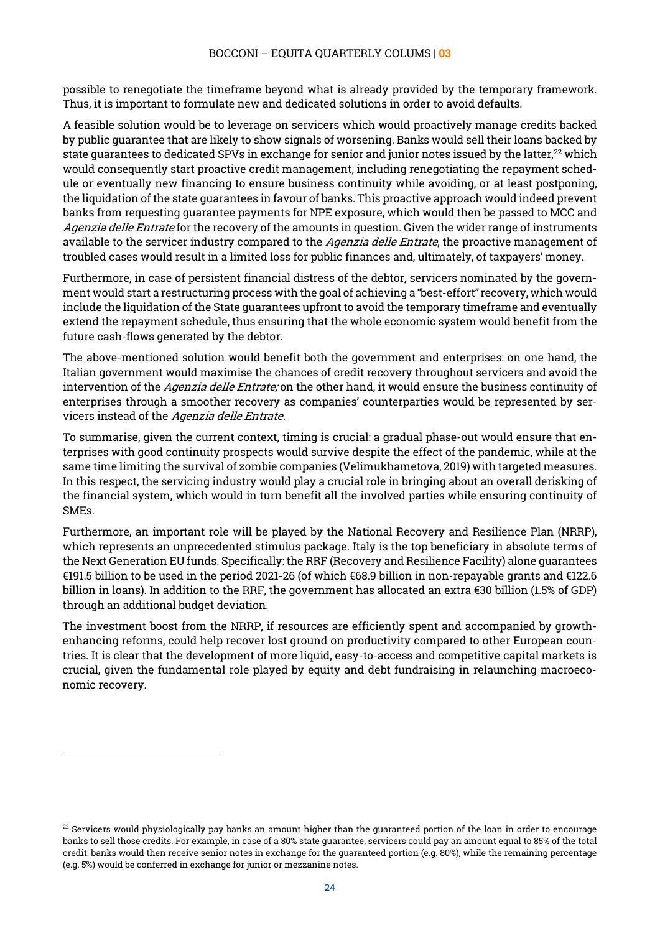possible to renegotiate the timeframe beyond what is already provided by the temporary framework. Thus, it is important to formulate new and dedicated solutions in order to avoid defaults.

A feasible solution would be to leverage on servicers which would proactively manage credits backed by public guarantee that are likely to show signals of worsening. Banks would sell their loans backed by state guarantees to dedicated SPVs in exchange for senior and junior notes issued by the latter, $^{22}$  $^{22}$  $^{22}$  which would consequently start proactive credit management, including renegotiating the repayment schedule or eventually new financing to ensure business continuity while avoiding, or at least postponing, the liquidation of the state guarantees in favour of banks. This proactive approach would indeed prevent banks from requesting guarantee payments for NPE exposure, which would then be passed to MCC and Agenzia delle Entrate for the recovery of the amounts in question. Given the wider range of instruments available to the servicer industry compared to the *Agenzia delle Entrate*, the proactive management of troubled cases would result in a limited loss for public finances and, ultimately, of taxpayers' money.

Furthermore, in case of persistent financial distress of the debtor, servicers nominated by the government would start a restructuring process with the goal of achieving a "best-effort" recovery, which would include the liquidation of the State guarantees upfront to avoid the temporary timeframe and eventually extend the repayment schedule, thus ensuring that the whole economic system would benefit from the future cash-flows generated by the debtor.

The above-mentioned solution would benefit both the government and enterprises: on one hand, the Italian government would maximise the chances of credit recovery throughout servicers and avoid the intervention of the Agenzia delle Entrate; on the other hand, it would ensure the business continuity of enterprises through a smoother recovery as companies' counterparties would be represented by servicers instead of the Agenzia delle Entrate.

To summarise, given the current context, timing is crucial: a gradual phase-out would ensure that enterprises with good continuity prospects would survive despite the effect of the pandemic, while at the same time limiting the survival of zombie companies (Velimukhametova, 2019) with targeted measures. In this respect, the servicing industry would play a crucial role in bringing about an overall derisking of the financial system, which would in turn benefit all the involved parties while ensuring continuity of SMEs.

Furthermore, an important role will be played by the National Recovery and Resilience Plan (NRRP), which represents an unprecedented stimulus package. Italy is the top beneficiary in absolute terms of the Next Generation EU funds. Specifically: the RRF (Recovery and Resilience Facility) alone guarantees €191.5 billion to be used in the period 2021-26 (of which €68.9 billion in non-repayable grants and €122.6 billion in loans). In addition to the RRF, the government has allocated an extra €30 billion (1.5% of GDP) through an additional budget deviation.

The investment boost from the NRRP, if resources are efficiently spent and accompanied by growthenhancing reforms, could help recover lost ground on productivity compared to other European countries. It is clear that the development of more liquid, easy-to-access and competitive capital markets is crucial, given the fundamental role played by equity and debt fundraising in relaunching macroeconomic recovery.

<span id="page-23-0"></span> $22$  Servicers would physiologically pay banks an amount higher than the guaranteed portion of the loan in order to encourage banks to sell those credits. For example, in case of a 80% state guarantee, servicers could pay an amount equal to 85% of the total credit: banks would then receive senior notes in exchange for the guaranteed portion (e.g. 80%), while the remaining percentage (e.g. 5%) would be conferred in exchange for junior or mezzanine notes.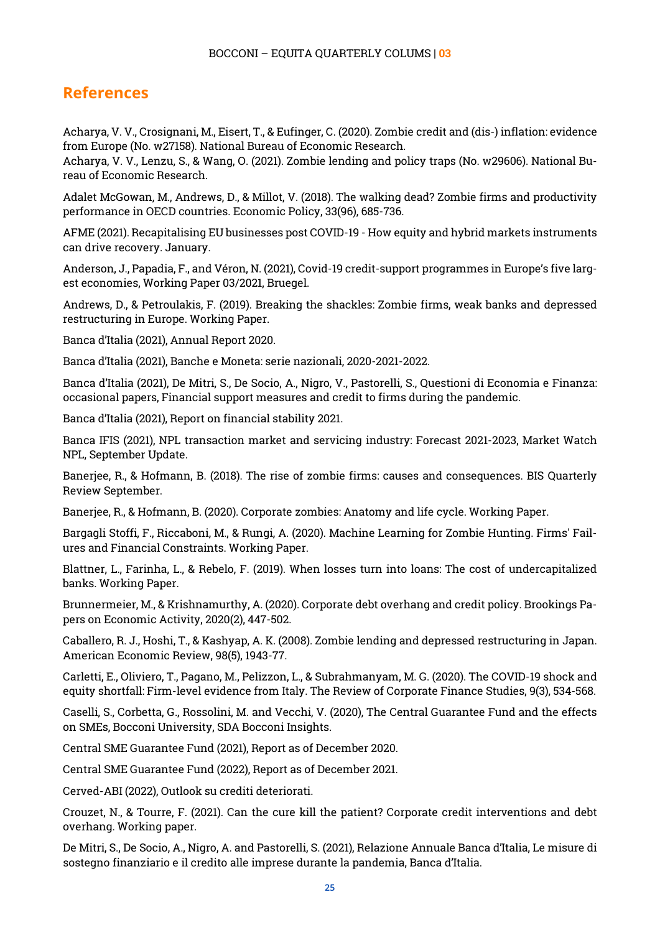## <span id="page-24-0"></span>**References**

Acharya, V. V., Crosignani, M., Eisert, T., & Eufinger, C. (2020). Zombie credit and (dis-) inflation: evidence from Europe (No. w27158). National Bureau of Economic Research.

Acharya, V. V., Lenzu, S., & Wang, O. (2021). Zombie lending and policy traps (No. w29606). National Bureau of Economic Research.

Adalet McGowan, M., Andrews, D., & Millot, V. (2018). The walking dead? Zombie firms and productivity performance in OECD countries. Economic Policy, 33(96), 685-736.

AFME (2021). Recapitalising EU businesses post COVID-19 - How equity and hybrid markets instruments can drive recovery. January.

Anderson, J., Papadia, F., and Véron, N. (2021), Covid-19 credit-support programmes in Europe's five largest economies, Working Paper 03/2021, Bruegel.

Andrews, D., & Petroulakis, F. (2019). Breaking the shackles: Zombie firms, weak banks and depressed restructuring in Europe. Working Paper.

Banca d'Italia (2021), Annual Report 2020.

Banca d'Italia (2021), Banche e Moneta: serie nazionali, 2020-2021-2022.

Banca d'Italia (2021), De Mitri, S., De Socio, A., Nigro, V., Pastorelli, S., Questioni di Economia e Finanza: occasional papers, Financial support measures and credit to firms during the pandemic.

Banca d'Italia (2021), Report on financial stability 2021.

Banca IFIS (2021), NPL transaction market and servicing industry: Forecast 2021-2023, Market Watch NPL, September Update.

Banerjee, R., & Hofmann, B. (2018). The rise of zombie firms: causes and consequences. BIS Quarterly Review September.

Banerjee, R., & Hofmann, B. (2020). Corporate zombies: Anatomy and life cycle. Working Paper.

Bargagli Stoffi, F., Riccaboni, M., & Rungi, A. (2020). Machine Learning for Zombie Hunting. Firms' Failures and Financial Constraints. Working Paper.

Blattner, L., Farinha, L., & Rebelo, F. (2019). When losses turn into loans: The cost of undercapitalized banks. Working Paper.

Brunnermeier, M., & Krishnamurthy, A. (2020). Corporate debt overhang and credit policy. Brookings Papers on Economic Activity, 2020(2), 447-502.

Caballero, R. J., Hoshi, T., & Kashyap, A. K. (2008). Zombie lending and depressed restructuring in Japan. American Economic Review, 98(5), 1943-77.

Carletti, E., Oliviero, T., Pagano, M., Pelizzon, L., & Subrahmanyam, M. G. (2020). The COVID-19 shock and equity shortfall: Firm-level evidence from Italy. The Review of Corporate Finance Studies, 9(3), 534-568.

Caselli, S., Corbetta, G., Rossolini, M. and Vecchi, V. (2020), The Central Guarantee Fund and the effects on SMEs, Bocconi University, SDA Bocconi Insights.

Central SME Guarantee Fund (2021), Report as of December 2020.

Central SME Guarantee Fund (2022), Report as of December 2021.

Cerved-ABI (2022), Outlook su crediti deteriorati.

Crouzet, N., & Tourre, F. (2021). Can the cure kill the patient? Corporate credit interventions and debt overhang. Working paper.

De Mitri, S., De Socio, A., Nigro, A. and Pastorelli, S. (2021), Relazione Annuale Banca d'Italia, Le misure di sostegno finanziario e il credito alle imprese durante la pandemia, Banca d'Italia.